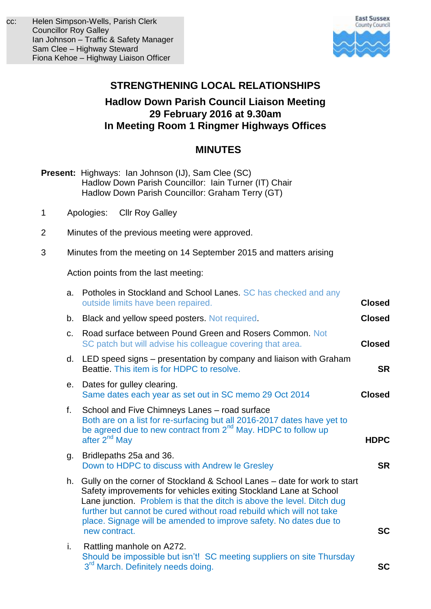

# **STRENGTHENING LOCAL RELATIONSHIPS**

## **Hadlow Down Parish Council Liaison Meeting 29 February 2016 at 9.30am In Meeting Room 1 Ringmer Highways Offices**

## **MINUTES**

- **Present:** Highways: Ian Johnson (IJ), Sam Clee (SC) Hadlow Down Parish Councillor: Iain Turner (IT) Chair Hadlow Down Parish Councillor: Graham Terry (GT)
- 1 Apologies: Cllr Roy Galley
- 2 Minutes of the previous meeting were approved.
- 3 Minutes from the meeting on 14 September 2015 and matters arising

Action points from the last meeting:

| a.             | Potholes in Stockland and School Lanes. SC has checked and any<br>outside limits have been repaired.                                                                                                                                                                                                                                                                                  | <b>Closed</b> |
|----------------|---------------------------------------------------------------------------------------------------------------------------------------------------------------------------------------------------------------------------------------------------------------------------------------------------------------------------------------------------------------------------------------|---------------|
| b.             | Black and yellow speed posters. Not required.                                                                                                                                                                                                                                                                                                                                         | <b>Closed</b> |
| C <sub>1</sub> | Road surface between Pound Green and Rosers Common. Not<br>SC patch but will advise his colleague covering that area.                                                                                                                                                                                                                                                                 | <b>Closed</b> |
| d.             | LED speed signs – presentation by company and liaison with Graham<br>Beattie. This item is for HDPC to resolve.                                                                                                                                                                                                                                                                       | <b>SR</b>     |
| е.             | Dates for gulley clearing.<br>Same dates each year as set out in SC memo 29 Oct 2014                                                                                                                                                                                                                                                                                                  | <b>Closed</b> |
| f.             | School and Five Chimneys Lanes - road surface<br>Both are on a list for re-surfacing but all 2016-2017 dates have yet to<br>be agreed due to new contract from $2^{nd}$ May. HDPC to follow up<br>after 2 <sup>nd</sup> May                                                                                                                                                           | <b>HDPC</b>   |
| g.             | Bridlepaths 25a and 36.<br>Down to HDPC to discuss with Andrew le Gresley                                                                                                                                                                                                                                                                                                             | <b>SR</b>     |
| h.             | Gully on the corner of Stockland & School Lanes – date for work to start<br>Safety improvements for vehicles exiting Stockland Lane at School<br>Lane junction. Problem is that the ditch is above the level. Ditch dug<br>further but cannot be cured without road rebuild which will not take<br>place. Signage will be amended to improve safety. No dates due to<br>new contract. | <b>SC</b>     |
| i.             | Rattling manhole on A272.<br>Should be impossible but isn't! SC meeting suppliers on site Thursday<br>3 <sup>rd</sup> March. Definitely needs doing.                                                                                                                                                                                                                                  | SC            |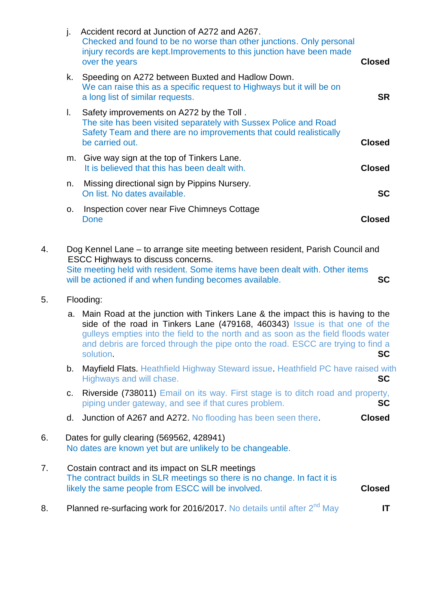| j. | Accident record at Junction of A272 and A267.<br>Checked and found to be no worse than other junctions. Only personal<br>injury records are kept. Improvements to this junction have been made<br>over the years | <b>Closed</b> |
|----|------------------------------------------------------------------------------------------------------------------------------------------------------------------------------------------------------------------|---------------|
| k. | Speeding on A272 between Buxted and Hadlow Down.<br>We can raise this as a specific request to Highways but it will be on<br>a long list of similar requests.                                                    | <b>SR</b>     |
| L. | Safety improvements on A272 by the Toll.<br>The site has been visited separately with Sussex Police and Road<br>Safety Team and there are no improvements that could realistically<br>be carried out.            | <b>Closed</b> |
| m. | Give way sign at the top of Tinkers Lane.<br>It is believed that this has been dealt with.                                                                                                                       | <b>Closed</b> |
| n. | Missing directional sign by Pippins Nursery.<br>On list. No dates available.                                                                                                                                     | <b>SC</b>     |
| 0. | Inspection cover near Five Chimneys Cottage<br>Done                                                                                                                                                              | Closed        |
|    |                                                                                                                                                                                                                  |               |

4. Dog Kennel Lane – to arrange site meeting between resident, Parish Council and ESCC Highways to discuss concerns. Site meeting held with resident. Some items have been dealt with. Other items will be actioned if and when funding becomes available. **SC**

5. Flooding:

 a. Main Road at the junction with Tinkers Lane & the impact this is having to the side of the road in Tinkers Lane (479168, 460343) Issue is that one of the gulleys empties into the field to the north and as soon as the field floods water and debris are forced through the pipe onto the road. ESCC are trying to find a solution. **SC**

- b. Mayfield Flats. Heathfield Highway Steward issue. Heathfield PC have raised with Highways and will chase. **SC**
- c. Riverside (738011) Email on its way. First stage is to ditch road and property, piping under gateway, and see if that cures problem. **SC**
- d. Junction of A267 and A272. No flooding has been seen there. **Closed**

#### 6. Dates for gully clearing (569562, 428941) No dates are known yet but are unlikely to be changeable.

- 7. Costain contract and its impact on SLR meetings The contract builds in SLR meetings so there is no change. In fact it is likely the same people from ESCC will be involved. **Closed**
- 8. Planned re-surfacing work for 2016/2017. No details until after 2<sup>nd</sup> May **IT**